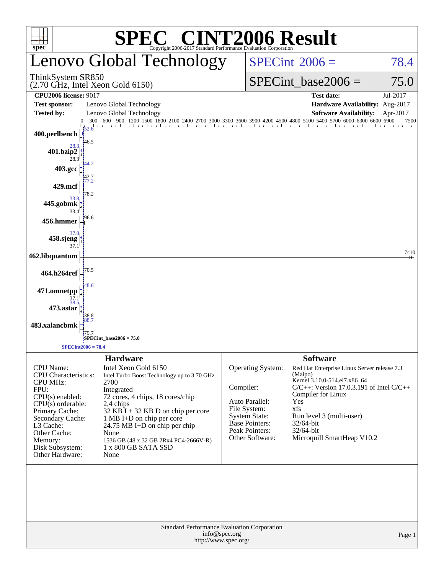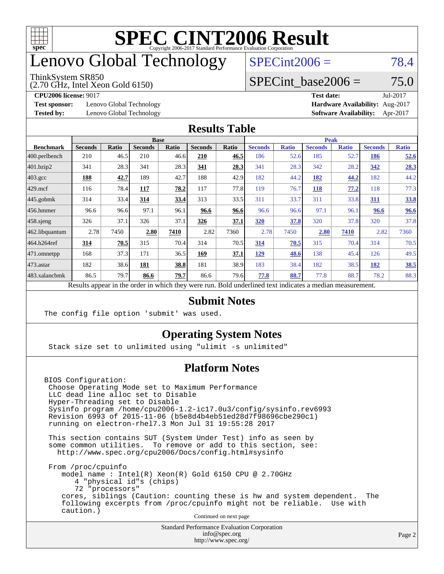

### enovo Global Technology

#### ThinkSystem SR850

(2.70 GHz, Intel Xeon Gold 6150)

 $SPECint2006 = 78.4$  $SPECint2006 = 78.4$ 

#### SPECint base2006 =  $75.0$

**[Test sponsor:](http://www.spec.org/auto/cpu2006/Docs/result-fields.html#Testsponsor)** Lenovo Global Technology **[Hardware Availability:](http://www.spec.org/auto/cpu2006/Docs/result-fields.html#HardwareAvailability)** Aug-2017

**[CPU2006 license:](http://www.spec.org/auto/cpu2006/Docs/result-fields.html#CPU2006license)** 9017 **[Test date:](http://www.spec.org/auto/cpu2006/Docs/result-fields.html#Testdate)** Jul-2017 **[Tested by:](http://www.spec.org/auto/cpu2006/Docs/result-fields.html#Testedby)** Lenovo Global Technology **[Software Availability:](http://www.spec.org/auto/cpu2006/Docs/result-fields.html#SoftwareAvailability)** Apr-2017

#### **[Results Table](http://www.spec.org/auto/cpu2006/Docs/result-fields.html#ResultsTable)**

|                                                                                                          | <b>Base</b>    |              |                |       | <b>Peak</b>    |       |                |              |                |              |                |              |
|----------------------------------------------------------------------------------------------------------|----------------|--------------|----------------|-------|----------------|-------|----------------|--------------|----------------|--------------|----------------|--------------|
| <b>Benchmark</b>                                                                                         | <b>Seconds</b> | <b>Ratio</b> | <b>Seconds</b> | Ratio | <b>Seconds</b> | Ratio | <b>Seconds</b> | <b>Ratio</b> | <b>Seconds</b> | <b>Ratio</b> | <b>Seconds</b> | <b>Ratio</b> |
| 400.perlbench                                                                                            | 210            | 46.5         | 210            | 46.6  | 210            | 46.5  | 186            | 52.6         | 185            | 52.7         | 186            | <u>52.6</u>  |
| 401.bzip2                                                                                                | 341            | 28.3         | 341            | 28.3  | 341            | 28.3  | 341            | 28.3         | 342            | 28.2         | 342            | 28.3         |
| $403.\mathrm{gcc}$                                                                                       | 188            | 42.7         | 189            | 42.7  | 188            | 42.9  | 182            | 44.2         | 182            | 44.2         | 182            | 44.2         |
| $429$ mcf                                                                                                | 116            | 78.4         | 117            | 78.2  | 117            | 77.8  | 119            | 76.7         | 118            | 77.2         | 118            | 77.3         |
| $445$ .gobmk                                                                                             | 314            | 33.4         | 314            | 33.4  | 313            | 33.5  | 311            | 33.7         | 311            | 33.8         | 311            | <u>33.8</u>  |
| $456.$ hmmer                                                                                             | 96.6           | 96.6         | 97.1           | 96.1  | 96.6           | 96.6  | 96.6           | 96.6         | 97.1           | 96.1         | 96.6           | 96.6         |
| $458$ .sjeng                                                                                             | 326            | 37.1         | 326            | 37.1  | 326            | 37.1  | 320            | 37.8         | 320            | 37.8         | 320            | 37.8         |
| 462.libquantum                                                                                           | 2.78           | 7450         | 2.80           | 7410  | 2.82           | 7360  | 2.78           | 7450         | 2.80           | 7410         | 2.82           | 7360         |
| 464.h264ref                                                                                              | 314            | 70.5         | 315            | 70.4  | 314            | 70.5  | 314            | 70.5         | 315            | 70.4         | 314            | 70.5         |
| $ 471$ .omnetpp                                                                                          | 168            | 37.3         | 171            | 36.5  | 169            | 37.1  | 129            | 48.6         | 138            | 45.4         | 126            | 49.5         |
| $473$ . astar                                                                                            | 182            | 38.6         | 181            | 38.8  | 181            | 38.9  | 183            | 38.4         | 182            | 38.5         | 182            | <u>38.5</u>  |
| 483.xalancbmk                                                                                            | 86.5           | 79.7         | 86.6           | 79.7  | 86.6           | 79.6  | 77.8           | 88.7         | 77.8           | 88.7         | 78.2           | 88.3         |
| Results appear in the order in which they were run. Bold underlined text indicates a median measurement. |                |              |                |       |                |       |                |              |                |              |                |              |

#### **[Submit Notes](http://www.spec.org/auto/cpu2006/Docs/result-fields.html#SubmitNotes)**

The config file option 'submit' was used.

#### **[Operating System Notes](http://www.spec.org/auto/cpu2006/Docs/result-fields.html#OperatingSystemNotes)**

Stack size set to unlimited using "ulimit -s unlimited"

#### **[Platform Notes](http://www.spec.org/auto/cpu2006/Docs/result-fields.html#PlatformNotes)**

BIOS Configuration: Choose Operating Mode set to Maximum Performance LLC dead line alloc set to Disable Hyper-Threading set to Disable Sysinfo program /home/cpu2006-1.2-ic17.0u3/config/sysinfo.rev6993 Revision 6993 of 2015-11-06 (b5e8d4b4eb51ed28d7f98696cbe290c1) running on electron-rhel7.3 Mon Jul 31 19:55:28 2017

 This section contains SUT (System Under Test) info as seen by some common utilities. To remove or add to this section, see: <http://www.spec.org/cpu2006/Docs/config.html#sysinfo>

 From /proc/cpuinfo model name : Intel(R) Xeon(R) Gold 6150 CPU @ 2.70GHz 4 "physical id"s (chips) 72 "processors" cores, siblings (Caution: counting these is hw and system dependent. The following excerpts from /proc/cpuinfo might not be reliable. Use with caution.)

Continued on next page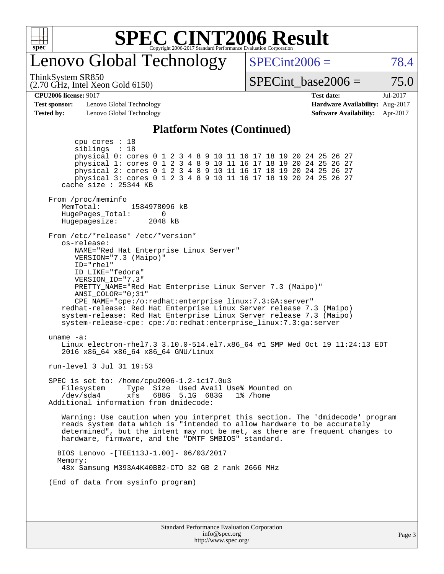

### enovo Global Technology

ThinkSystem SR850

(2.70 GHz, Intel Xeon Gold 6150)

 $SPECint2006 = 78.4$  $SPECint2006 = 78.4$ 

SPECint base2006 =  $75.0$ 

#### **[CPU2006 license:](http://www.spec.org/auto/cpu2006/Docs/result-fields.html#CPU2006license)** 9017 **[Test date:](http://www.spec.org/auto/cpu2006/Docs/result-fields.html#Testdate)** Jul-2017

**[Test sponsor:](http://www.spec.org/auto/cpu2006/Docs/result-fields.html#Testsponsor)** Lenovo Global Technology **[Hardware Availability:](http://www.spec.org/auto/cpu2006/Docs/result-fields.html#HardwareAvailability)** Aug-2017

**[Tested by:](http://www.spec.org/auto/cpu2006/Docs/result-fields.html#Testedby)** Lenovo Global Technology **[Software Availability:](http://www.spec.org/auto/cpu2006/Docs/result-fields.html#SoftwareAvailability)** Apr-2017

#### **[Platform Notes \(Continued\)](http://www.spec.org/auto/cpu2006/Docs/result-fields.html#PlatformNotes)**

Standard Performance Evaluation Corporation [info@spec.org](mailto:info@spec.org) <http://www.spec.org/> Page 3 cpu cores : 18 siblings : 18 physical 0: cores 0 1 2 3 4 8 9 10 11 16 17 18 19 20 24 25 26 27 physical 1: cores 0 1 2 3 4 8 9 10 11 16 17 18 19 20 24 25 26 27 physical 2: cores 0 1 2 3 4 8 9 10 11 16 17 18 19 20 24 25 26 27 physical 3: cores 0 1 2 3 4 8 9 10 11 16 17 18 19 20 24 25 26 27 cache size : 25344 KB From /proc/meminfo MemTotal: 1584978096 kB<br>HugePages Total: 0 HugePages\_Total: 0 Hugepagesize: 2048 kB From /etc/\*release\* /etc/\*version\* os-release: NAME="Red Hat Enterprise Linux Server" VERSION="7.3 (Maipo)" ID="rhel" ID\_LIKE="fedora" VERSION\_ID="7.3" PRETTY\_NAME="Red Hat Enterprise Linux Server 7.3 (Maipo)" ANSI\_COLOR="0;31" CPE\_NAME="cpe:/o:redhat:enterprise\_linux:7.3:GA:server" redhat-release: Red Hat Enterprise Linux Server release 7.3 (Maipo) system-release: Red Hat Enterprise Linux Server release 7.3 (Maipo) system-release-cpe: cpe:/o:redhat:enterprise\_linux:7.3:ga:server uname -a: Linux electron-rhel7.3 3.10.0-514.el7.x86\_64 #1 SMP Wed Oct 19 11:24:13 EDT 2016 x86\_64 x86\_64 x86\_64 GNU/Linux run-level 3 Jul 31 19:53 SPEC is set to: /home/cpu2006-1.2-ic17.0u3 Filesystem Type Size Used Avail Use% Mounted on /dev/sda4 xfs 688G 5.1G 683G 1% /home Additional information from dmidecode: Warning: Use caution when you interpret this section. The 'dmidecode' program reads system data which is "intended to allow hardware to be accurately determined", but the intent may not be met, as there are frequent changes to hardware, firmware, and the "DMTF SMBIOS" standard. BIOS Lenovo -[TEE113J-1.00]- 06/03/2017 Memory: 48x Samsung M393A4K40BB2-CTD 32 GB 2 rank 2666 MHz (End of data from sysinfo program)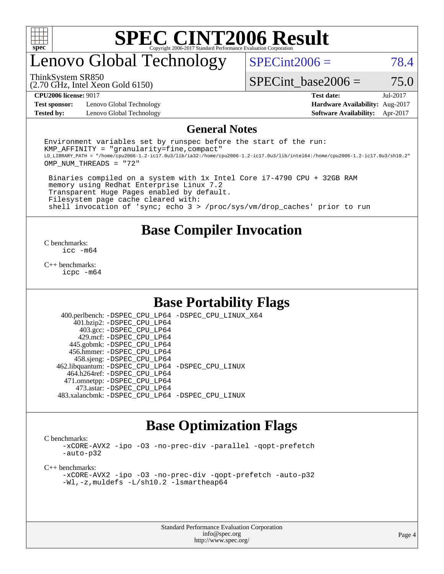

### enovo Global Technology

 $SPECint2006 = 78.4$  $SPECint2006 = 78.4$ 

(2.70 GHz, Intel Xeon Gold 6150) ThinkSystem SR850

SPECint base2006 =  $75.0$ 

**[Test sponsor:](http://www.spec.org/auto/cpu2006/Docs/result-fields.html#Testsponsor)** Lenovo Global Technology **[Hardware Availability:](http://www.spec.org/auto/cpu2006/Docs/result-fields.html#HardwareAvailability)** Aug-2017 **[Tested by:](http://www.spec.org/auto/cpu2006/Docs/result-fields.html#Testedby)** Lenovo Global Technology **[Software Availability:](http://www.spec.org/auto/cpu2006/Docs/result-fields.html#SoftwareAvailability)** Apr-2017

**[CPU2006 license:](http://www.spec.org/auto/cpu2006/Docs/result-fields.html#CPU2006license)** 9017 **[Test date:](http://www.spec.org/auto/cpu2006/Docs/result-fields.html#Testdate)** Jul-2017

#### **[General Notes](http://www.spec.org/auto/cpu2006/Docs/result-fields.html#GeneralNotes)**

Environment variables set by runspec before the start of the run:  $KMP$  AFFINITY = "granularity=fine, compact" LD\_LIBRARY\_PATH = "/home/cpu2006-1.2-ic17.0u3/lib/ia32:/home/cpu2006-1.2-ic17.0u3/lib/intel64:/home/cpu2006-1.2-ic17.0u3/sh10.2" OMP\_NUM\_THREADS = "72"

 Binaries compiled on a system with 1x Intel Core i7-4790 CPU + 32GB RAM memory using Redhat Enterprise Linux 7.2 Transparent Huge Pages enabled by default. Filesystem page cache cleared with: shell invocation of 'sync; echo 3 > /proc/sys/vm/drop\_caches' prior to run

#### **[Base Compiler Invocation](http://www.spec.org/auto/cpu2006/Docs/result-fields.html#BaseCompilerInvocation)**

[C benchmarks](http://www.spec.org/auto/cpu2006/Docs/result-fields.html#Cbenchmarks): [icc -m64](http://www.spec.org/cpu2006/results/res2017q4/cpu2006-20170918-49935.flags.html#user_CCbase_intel_icc_64bit_bda6cc9af1fdbb0edc3795bac97ada53)

[C++ benchmarks:](http://www.spec.org/auto/cpu2006/Docs/result-fields.html#CXXbenchmarks) [icpc -m64](http://www.spec.org/cpu2006/results/res2017q4/cpu2006-20170918-49935.flags.html#user_CXXbase_intel_icpc_64bit_fc66a5337ce925472a5c54ad6a0de310)

#### **[Base Portability Flags](http://www.spec.org/auto/cpu2006/Docs/result-fields.html#BasePortabilityFlags)**

 400.perlbench: [-DSPEC\\_CPU\\_LP64](http://www.spec.org/cpu2006/results/res2017q4/cpu2006-20170918-49935.flags.html#b400.perlbench_basePORTABILITY_DSPEC_CPU_LP64) [-DSPEC\\_CPU\\_LINUX\\_X64](http://www.spec.org/cpu2006/results/res2017q4/cpu2006-20170918-49935.flags.html#b400.perlbench_baseCPORTABILITY_DSPEC_CPU_LINUX_X64) 401.bzip2: [-DSPEC\\_CPU\\_LP64](http://www.spec.org/cpu2006/results/res2017q4/cpu2006-20170918-49935.flags.html#suite_basePORTABILITY401_bzip2_DSPEC_CPU_LP64) 403.gcc: [-DSPEC\\_CPU\\_LP64](http://www.spec.org/cpu2006/results/res2017q4/cpu2006-20170918-49935.flags.html#suite_basePORTABILITY403_gcc_DSPEC_CPU_LP64) 429.mcf: [-DSPEC\\_CPU\\_LP64](http://www.spec.org/cpu2006/results/res2017q4/cpu2006-20170918-49935.flags.html#suite_basePORTABILITY429_mcf_DSPEC_CPU_LP64) 445.gobmk: [-DSPEC\\_CPU\\_LP64](http://www.spec.org/cpu2006/results/res2017q4/cpu2006-20170918-49935.flags.html#suite_basePORTABILITY445_gobmk_DSPEC_CPU_LP64) 456.hmmer: [-DSPEC\\_CPU\\_LP64](http://www.spec.org/cpu2006/results/res2017q4/cpu2006-20170918-49935.flags.html#suite_basePORTABILITY456_hmmer_DSPEC_CPU_LP64) 458.sjeng: [-DSPEC\\_CPU\\_LP64](http://www.spec.org/cpu2006/results/res2017q4/cpu2006-20170918-49935.flags.html#suite_basePORTABILITY458_sjeng_DSPEC_CPU_LP64) 462.libquantum: [-DSPEC\\_CPU\\_LP64](http://www.spec.org/cpu2006/results/res2017q4/cpu2006-20170918-49935.flags.html#suite_basePORTABILITY462_libquantum_DSPEC_CPU_LP64) [-DSPEC\\_CPU\\_LINUX](http://www.spec.org/cpu2006/results/res2017q4/cpu2006-20170918-49935.flags.html#b462.libquantum_baseCPORTABILITY_DSPEC_CPU_LINUX) 464.h264ref: [-DSPEC\\_CPU\\_LP64](http://www.spec.org/cpu2006/results/res2017q4/cpu2006-20170918-49935.flags.html#suite_basePORTABILITY464_h264ref_DSPEC_CPU_LP64) 471.omnetpp: [-DSPEC\\_CPU\\_LP64](http://www.spec.org/cpu2006/results/res2017q4/cpu2006-20170918-49935.flags.html#suite_basePORTABILITY471_omnetpp_DSPEC_CPU_LP64) 473.astar: [-DSPEC\\_CPU\\_LP64](http://www.spec.org/cpu2006/results/res2017q4/cpu2006-20170918-49935.flags.html#suite_basePORTABILITY473_astar_DSPEC_CPU_LP64) 483.xalancbmk: [-DSPEC\\_CPU\\_LP64](http://www.spec.org/cpu2006/results/res2017q4/cpu2006-20170918-49935.flags.html#suite_basePORTABILITY483_xalancbmk_DSPEC_CPU_LP64) [-DSPEC\\_CPU\\_LINUX](http://www.spec.org/cpu2006/results/res2017q4/cpu2006-20170918-49935.flags.html#b483.xalancbmk_baseCXXPORTABILITY_DSPEC_CPU_LINUX)

#### **[Base Optimization Flags](http://www.spec.org/auto/cpu2006/Docs/result-fields.html#BaseOptimizationFlags)**

[C benchmarks](http://www.spec.org/auto/cpu2006/Docs/result-fields.html#Cbenchmarks):

[-xCORE-AVX2](http://www.spec.org/cpu2006/results/res2017q4/cpu2006-20170918-49935.flags.html#user_CCbase_f-xCORE-AVX2) [-ipo](http://www.spec.org/cpu2006/results/res2017q4/cpu2006-20170918-49935.flags.html#user_CCbase_f-ipo) [-O3](http://www.spec.org/cpu2006/results/res2017q4/cpu2006-20170918-49935.flags.html#user_CCbase_f-O3) [-no-prec-div](http://www.spec.org/cpu2006/results/res2017q4/cpu2006-20170918-49935.flags.html#user_CCbase_f-no-prec-div) [-parallel](http://www.spec.org/cpu2006/results/res2017q4/cpu2006-20170918-49935.flags.html#user_CCbase_f-parallel) [-qopt-prefetch](http://www.spec.org/cpu2006/results/res2017q4/cpu2006-20170918-49935.flags.html#user_CCbase_f-qopt-prefetch) [-auto-p32](http://www.spec.org/cpu2006/results/res2017q4/cpu2006-20170918-49935.flags.html#user_CCbase_f-auto-p32)

[C++ benchmarks:](http://www.spec.org/auto/cpu2006/Docs/result-fields.html#CXXbenchmarks)

[-xCORE-AVX2](http://www.spec.org/cpu2006/results/res2017q4/cpu2006-20170918-49935.flags.html#user_CXXbase_f-xCORE-AVX2) [-ipo](http://www.spec.org/cpu2006/results/res2017q4/cpu2006-20170918-49935.flags.html#user_CXXbase_f-ipo) [-O3](http://www.spec.org/cpu2006/results/res2017q4/cpu2006-20170918-49935.flags.html#user_CXXbase_f-O3) [-no-prec-div](http://www.spec.org/cpu2006/results/res2017q4/cpu2006-20170918-49935.flags.html#user_CXXbase_f-no-prec-div) [-qopt-prefetch](http://www.spec.org/cpu2006/results/res2017q4/cpu2006-20170918-49935.flags.html#user_CXXbase_f-qopt-prefetch) [-auto-p32](http://www.spec.org/cpu2006/results/res2017q4/cpu2006-20170918-49935.flags.html#user_CXXbase_f-auto-p32) [-Wl,-z,muldefs](http://www.spec.org/cpu2006/results/res2017q4/cpu2006-20170918-49935.flags.html#user_CXXbase_link_force_multiple1_74079c344b956b9658436fd1b6dd3a8a) [-L/sh10.2 -lsmartheap64](http://www.spec.org/cpu2006/results/res2017q4/cpu2006-20170918-49935.flags.html#user_CXXbase_SmartHeap64_63911d860fc08c15fa1d5bf319b9d8d5)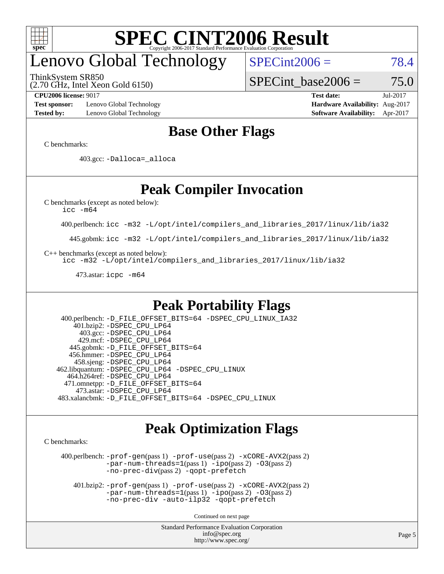

## enovo Global Technology

ThinkSystem SR850

(2.70 GHz, Intel Xeon Gold 6150)

 $SPECint2006 = 78.4$  $SPECint2006 = 78.4$ 

SPECint base2006 =  $75.0$ 

**[Test sponsor:](http://www.spec.org/auto/cpu2006/Docs/result-fields.html#Testsponsor)** Lenovo Global Technology **[Hardware Availability:](http://www.spec.org/auto/cpu2006/Docs/result-fields.html#HardwareAvailability)** Aug-2017 **[Tested by:](http://www.spec.org/auto/cpu2006/Docs/result-fields.html#Testedby)** Lenovo Global Technology **[Software Availability:](http://www.spec.org/auto/cpu2006/Docs/result-fields.html#SoftwareAvailability)** Apr-2017

**[CPU2006 license:](http://www.spec.org/auto/cpu2006/Docs/result-fields.html#CPU2006license)** 9017 **[Test date:](http://www.spec.org/auto/cpu2006/Docs/result-fields.html#Testdate)** Jul-2017

#### **[Base Other Flags](http://www.spec.org/auto/cpu2006/Docs/result-fields.html#BaseOtherFlags)**

[C benchmarks](http://www.spec.org/auto/cpu2006/Docs/result-fields.html#Cbenchmarks):

403.gcc: [-Dalloca=\\_alloca](http://www.spec.org/cpu2006/results/res2017q4/cpu2006-20170918-49935.flags.html#b403.gcc_baseEXTRA_CFLAGS_Dalloca_be3056838c12de2578596ca5467af7f3)

### **[Peak Compiler Invocation](http://www.spec.org/auto/cpu2006/Docs/result-fields.html#PeakCompilerInvocation)**

[C benchmarks \(except as noted below\)](http://www.spec.org/auto/cpu2006/Docs/result-fields.html#Cbenchmarksexceptasnotedbelow):

[icc -m64](http://www.spec.org/cpu2006/results/res2017q4/cpu2006-20170918-49935.flags.html#user_CCpeak_intel_icc_64bit_bda6cc9af1fdbb0edc3795bac97ada53)

400.perlbench: [icc -m32 -L/opt/intel/compilers\\_and\\_libraries\\_2017/linux/lib/ia32](http://www.spec.org/cpu2006/results/res2017q4/cpu2006-20170918-49935.flags.html#user_peakCCLD400_perlbench_intel_icc_c29f3ff5a7ed067b11e4ec10a03f03ae)

445.gobmk: [icc -m32 -L/opt/intel/compilers\\_and\\_libraries\\_2017/linux/lib/ia32](http://www.spec.org/cpu2006/results/res2017q4/cpu2006-20170918-49935.flags.html#user_peakCCLD445_gobmk_intel_icc_c29f3ff5a7ed067b11e4ec10a03f03ae)

[C++ benchmarks \(except as noted below\):](http://www.spec.org/auto/cpu2006/Docs/result-fields.html#CXXbenchmarksexceptasnotedbelow)

[icc -m32 -L/opt/intel/compilers\\_and\\_libraries\\_2017/linux/lib/ia32](http://www.spec.org/cpu2006/results/res2017q4/cpu2006-20170918-49935.flags.html#user_CXXpeak_intel_icc_c29f3ff5a7ed067b11e4ec10a03f03ae)

473.astar: [icpc -m64](http://www.spec.org/cpu2006/results/res2017q4/cpu2006-20170918-49935.flags.html#user_peakCXXLD473_astar_intel_icpc_64bit_fc66a5337ce925472a5c54ad6a0de310)

#### **[Peak Portability Flags](http://www.spec.org/auto/cpu2006/Docs/result-fields.html#PeakPortabilityFlags)**

 400.perlbench: [-D\\_FILE\\_OFFSET\\_BITS=64](http://www.spec.org/cpu2006/results/res2017q4/cpu2006-20170918-49935.flags.html#user_peakPORTABILITY400_perlbench_file_offset_bits_64_438cf9856305ebd76870a2c6dc2689ab) [-DSPEC\\_CPU\\_LINUX\\_IA32](http://www.spec.org/cpu2006/results/res2017q4/cpu2006-20170918-49935.flags.html#b400.perlbench_peakCPORTABILITY_DSPEC_CPU_LINUX_IA32) 401.bzip2: [-DSPEC\\_CPU\\_LP64](http://www.spec.org/cpu2006/results/res2017q4/cpu2006-20170918-49935.flags.html#suite_peakPORTABILITY401_bzip2_DSPEC_CPU_LP64) 403.gcc: [-DSPEC\\_CPU\\_LP64](http://www.spec.org/cpu2006/results/res2017q4/cpu2006-20170918-49935.flags.html#suite_peakPORTABILITY403_gcc_DSPEC_CPU_LP64) 429.mcf: [-DSPEC\\_CPU\\_LP64](http://www.spec.org/cpu2006/results/res2017q4/cpu2006-20170918-49935.flags.html#suite_peakPORTABILITY429_mcf_DSPEC_CPU_LP64) 445.gobmk: [-D\\_FILE\\_OFFSET\\_BITS=64](http://www.spec.org/cpu2006/results/res2017q4/cpu2006-20170918-49935.flags.html#user_peakPORTABILITY445_gobmk_file_offset_bits_64_438cf9856305ebd76870a2c6dc2689ab) 456.hmmer: [-DSPEC\\_CPU\\_LP64](http://www.spec.org/cpu2006/results/res2017q4/cpu2006-20170918-49935.flags.html#suite_peakPORTABILITY456_hmmer_DSPEC_CPU_LP64) 458.sjeng: [-DSPEC\\_CPU\\_LP64](http://www.spec.org/cpu2006/results/res2017q4/cpu2006-20170918-49935.flags.html#suite_peakPORTABILITY458_sjeng_DSPEC_CPU_LP64) 462.libquantum: [-DSPEC\\_CPU\\_LP64](http://www.spec.org/cpu2006/results/res2017q4/cpu2006-20170918-49935.flags.html#suite_peakPORTABILITY462_libquantum_DSPEC_CPU_LP64) [-DSPEC\\_CPU\\_LINUX](http://www.spec.org/cpu2006/results/res2017q4/cpu2006-20170918-49935.flags.html#b462.libquantum_peakCPORTABILITY_DSPEC_CPU_LINUX) 464.h264ref: [-DSPEC\\_CPU\\_LP64](http://www.spec.org/cpu2006/results/res2017q4/cpu2006-20170918-49935.flags.html#suite_peakPORTABILITY464_h264ref_DSPEC_CPU_LP64) 471.omnetpp: [-D\\_FILE\\_OFFSET\\_BITS=64](http://www.spec.org/cpu2006/results/res2017q4/cpu2006-20170918-49935.flags.html#user_peakPORTABILITY471_omnetpp_file_offset_bits_64_438cf9856305ebd76870a2c6dc2689ab) 473.astar: [-DSPEC\\_CPU\\_LP64](http://www.spec.org/cpu2006/results/res2017q4/cpu2006-20170918-49935.flags.html#suite_peakPORTABILITY473_astar_DSPEC_CPU_LP64) 483.xalancbmk: [-D\\_FILE\\_OFFSET\\_BITS=64](http://www.spec.org/cpu2006/results/res2017q4/cpu2006-20170918-49935.flags.html#user_peakPORTABILITY483_xalancbmk_file_offset_bits_64_438cf9856305ebd76870a2c6dc2689ab) [-DSPEC\\_CPU\\_LINUX](http://www.spec.org/cpu2006/results/res2017q4/cpu2006-20170918-49935.flags.html#b483.xalancbmk_peakCXXPORTABILITY_DSPEC_CPU_LINUX)

#### **[Peak Optimization Flags](http://www.spec.org/auto/cpu2006/Docs/result-fields.html#PeakOptimizationFlags)**

[C benchmarks](http://www.spec.org/auto/cpu2006/Docs/result-fields.html#Cbenchmarks):

 400.perlbench: [-prof-gen](http://www.spec.org/cpu2006/results/res2017q4/cpu2006-20170918-49935.flags.html#user_peakPASS1_CFLAGSPASS1_LDCFLAGS400_perlbench_prof_gen_e43856698f6ca7b7e442dfd80e94a8fc)(pass 1) [-prof-use](http://www.spec.org/cpu2006/results/res2017q4/cpu2006-20170918-49935.flags.html#user_peakPASS2_CFLAGSPASS2_LDCFLAGS400_perlbench_prof_use_bccf7792157ff70d64e32fe3e1250b55)(pass 2) [-xCORE-AVX2](http://www.spec.org/cpu2006/results/res2017q4/cpu2006-20170918-49935.flags.html#user_peakPASS2_CFLAGSPASS2_LDCFLAGS400_perlbench_f-xCORE-AVX2)(pass 2) [-par-num-threads=1](http://www.spec.org/cpu2006/results/res2017q4/cpu2006-20170918-49935.flags.html#user_peakPASS1_CFLAGSPASS1_LDCFLAGS400_perlbench_par_num_threads_786a6ff141b4e9e90432e998842df6c2)(pass 1) [-ipo](http://www.spec.org/cpu2006/results/res2017q4/cpu2006-20170918-49935.flags.html#user_peakPASS2_CFLAGSPASS2_LDCFLAGS400_perlbench_f-ipo)(pass 2) [-O3](http://www.spec.org/cpu2006/results/res2017q4/cpu2006-20170918-49935.flags.html#user_peakPASS2_CFLAGSPASS2_LDCFLAGS400_perlbench_f-O3)(pass 2) [-no-prec-div](http://www.spec.org/cpu2006/results/res2017q4/cpu2006-20170918-49935.flags.html#user_peakPASS2_CFLAGSPASS2_LDCFLAGS400_perlbench_f-no-prec-div)(pass 2) [-qopt-prefetch](http://www.spec.org/cpu2006/results/res2017q4/cpu2006-20170918-49935.flags.html#user_peakCOPTIMIZE400_perlbench_f-qopt-prefetch)

 401.bzip2: [-prof-gen](http://www.spec.org/cpu2006/results/res2017q4/cpu2006-20170918-49935.flags.html#user_peakPASS1_CFLAGSPASS1_LDCFLAGS401_bzip2_prof_gen_e43856698f6ca7b7e442dfd80e94a8fc)(pass 1) [-prof-use](http://www.spec.org/cpu2006/results/res2017q4/cpu2006-20170918-49935.flags.html#user_peakPASS2_CFLAGSPASS2_LDCFLAGS401_bzip2_prof_use_bccf7792157ff70d64e32fe3e1250b55)(pass 2) [-xCORE-AVX2](http://www.spec.org/cpu2006/results/res2017q4/cpu2006-20170918-49935.flags.html#user_peakPASS2_CFLAGSPASS2_LDCFLAGS401_bzip2_f-xCORE-AVX2)(pass 2)  $-par-num-threads=1(pass 1) -ipo(pass 2) -O3(pass 2)$  $-par-num-threads=1(pass 1) -ipo(pass 2) -O3(pass 2)$  $-par-num-threads=1(pass 1) -ipo(pass 2) -O3(pass 2)$  $-par-num-threads=1(pass 1) -ipo(pass 2) -O3(pass 2)$  $-par-num-threads=1(pass 1) -ipo(pass 2) -O3(pass 2)$  $-par-num-threads=1(pass 1) -ipo(pass 2) -O3(pass 2)$ [-no-prec-div](http://www.spec.org/cpu2006/results/res2017q4/cpu2006-20170918-49935.flags.html#user_peakCOPTIMIZEPASS2_CFLAGSPASS2_LDCFLAGS401_bzip2_f-no-prec-div) [-auto-ilp32](http://www.spec.org/cpu2006/results/res2017q4/cpu2006-20170918-49935.flags.html#user_peakCOPTIMIZE401_bzip2_f-auto-ilp32) [-qopt-prefetch](http://www.spec.org/cpu2006/results/res2017q4/cpu2006-20170918-49935.flags.html#user_peakCOPTIMIZE401_bzip2_f-qopt-prefetch)

Continued on next page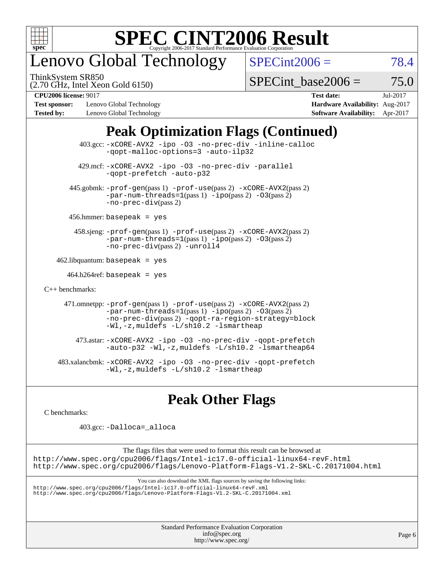

## enovo Global Technology

ThinkSystem SR850

 $SPECint2006 = 78.4$  $SPECint2006 = 78.4$ 

(2.70 GHz, Intel Xeon Gold 6150)

SPECint base2006 =  $75.0$ 

**[Test sponsor:](http://www.spec.org/auto/cpu2006/Docs/result-fields.html#Testsponsor)** Lenovo Global Technology **[Hardware Availability:](http://www.spec.org/auto/cpu2006/Docs/result-fields.html#HardwareAvailability)** Aug-2017 **[Tested by:](http://www.spec.org/auto/cpu2006/Docs/result-fields.html#Testedby)** Lenovo Global Technology **[Software Availability:](http://www.spec.org/auto/cpu2006/Docs/result-fields.html#SoftwareAvailability)** Apr-2017

**[CPU2006 license:](http://www.spec.org/auto/cpu2006/Docs/result-fields.html#CPU2006license)** 9017 **[Test date:](http://www.spec.org/auto/cpu2006/Docs/result-fields.html#Testdate)** Jul-2017

### **[Peak Optimization Flags \(Continued\)](http://www.spec.org/auto/cpu2006/Docs/result-fields.html#PeakOptimizationFlags)**

 403.gcc: [-xCORE-AVX2](http://www.spec.org/cpu2006/results/res2017q4/cpu2006-20170918-49935.flags.html#user_peakOPTIMIZE403_gcc_f-xCORE-AVX2) [-ipo](http://www.spec.org/cpu2006/results/res2017q4/cpu2006-20170918-49935.flags.html#user_peakOPTIMIZE403_gcc_f-ipo) [-O3](http://www.spec.org/cpu2006/results/res2017q4/cpu2006-20170918-49935.flags.html#user_peakOPTIMIZE403_gcc_f-O3) [-no-prec-div](http://www.spec.org/cpu2006/results/res2017q4/cpu2006-20170918-49935.flags.html#user_peakOPTIMIZE403_gcc_f-no-prec-div) [-inline-calloc](http://www.spec.org/cpu2006/results/res2017q4/cpu2006-20170918-49935.flags.html#user_peakCOPTIMIZE403_gcc_f-inline-calloc) [-qopt-malloc-options=3](http://www.spec.org/cpu2006/results/res2017q4/cpu2006-20170918-49935.flags.html#user_peakCOPTIMIZE403_gcc_f-qopt-malloc-options_0fcb435012e78f27d57f473818e45fe4) [-auto-ilp32](http://www.spec.org/cpu2006/results/res2017q4/cpu2006-20170918-49935.flags.html#user_peakCOPTIMIZE403_gcc_f-auto-ilp32) 429.mcf: [-xCORE-AVX2](http://www.spec.org/cpu2006/results/res2017q4/cpu2006-20170918-49935.flags.html#user_peakOPTIMIZE429_mcf_f-xCORE-AVX2) [-ipo](http://www.spec.org/cpu2006/results/res2017q4/cpu2006-20170918-49935.flags.html#user_peakOPTIMIZE429_mcf_f-ipo) [-O3](http://www.spec.org/cpu2006/results/res2017q4/cpu2006-20170918-49935.flags.html#user_peakOPTIMIZE429_mcf_f-O3) [-no-prec-div](http://www.spec.org/cpu2006/results/res2017q4/cpu2006-20170918-49935.flags.html#user_peakOPTIMIZE429_mcf_f-no-prec-div) [-parallel](http://www.spec.org/cpu2006/results/res2017q4/cpu2006-20170918-49935.flags.html#user_peakCOPTIMIZE429_mcf_f-parallel) [-qopt-prefetch](http://www.spec.org/cpu2006/results/res2017q4/cpu2006-20170918-49935.flags.html#user_peakCOPTIMIZE429_mcf_f-qopt-prefetch) [-auto-p32](http://www.spec.org/cpu2006/results/res2017q4/cpu2006-20170918-49935.flags.html#user_peakCOPTIMIZE429_mcf_f-auto-p32) 445.gobmk: [-prof-gen](http://www.spec.org/cpu2006/results/res2017q4/cpu2006-20170918-49935.flags.html#user_peakPASS1_CFLAGSPASS1_LDCFLAGS445_gobmk_prof_gen_e43856698f6ca7b7e442dfd80e94a8fc)(pass 1) [-prof-use](http://www.spec.org/cpu2006/results/res2017q4/cpu2006-20170918-49935.flags.html#user_peakPASS2_CFLAGSPASS2_LDCFLAGS445_gobmk_prof_use_bccf7792157ff70d64e32fe3e1250b55)(pass 2) [-xCORE-AVX2](http://www.spec.org/cpu2006/results/res2017q4/cpu2006-20170918-49935.flags.html#user_peakPASS2_CFLAGSPASS2_LDCFLAGS445_gobmk_f-xCORE-AVX2)(pass 2)  $-par-num-threads=1(pass 1) -ipo(pass 2) -O3(pass 2)$  $-par-num-threads=1(pass 1) -ipo(pass 2) -O3(pass 2)$  $-par-num-threads=1(pass 1) -ipo(pass 2) -O3(pass 2)$  $-par-num-threads=1(pass 1) -ipo(pass 2) -O3(pass 2)$  $-par-num-threads=1(pass 1) -ipo(pass 2) -O3(pass 2)$  $-par-num-threads=1(pass 1) -ipo(pass 2) -O3(pass 2)$ [-no-prec-div](http://www.spec.org/cpu2006/results/res2017q4/cpu2006-20170918-49935.flags.html#user_peakPASS2_CFLAGSPASS2_LDCFLAGS445_gobmk_f-no-prec-div)(pass 2) 456.hmmer: basepeak = yes 458.sjeng: [-prof-gen](http://www.spec.org/cpu2006/results/res2017q4/cpu2006-20170918-49935.flags.html#user_peakPASS1_CFLAGSPASS1_LDCFLAGS458_sjeng_prof_gen_e43856698f6ca7b7e442dfd80e94a8fc)(pass 1) [-prof-use](http://www.spec.org/cpu2006/results/res2017q4/cpu2006-20170918-49935.flags.html#user_peakPASS2_CFLAGSPASS2_LDCFLAGS458_sjeng_prof_use_bccf7792157ff70d64e32fe3e1250b55)(pass 2) [-xCORE-AVX2](http://www.spec.org/cpu2006/results/res2017q4/cpu2006-20170918-49935.flags.html#user_peakPASS2_CFLAGSPASS2_LDCFLAGS458_sjeng_f-xCORE-AVX2)(pass 2) [-par-num-threads=1](http://www.spec.org/cpu2006/results/res2017q4/cpu2006-20170918-49935.flags.html#user_peakPASS1_CFLAGSPASS1_LDCFLAGS458_sjeng_par_num_threads_786a6ff141b4e9e90432e998842df6c2)(pass 1) [-ipo](http://www.spec.org/cpu2006/results/res2017q4/cpu2006-20170918-49935.flags.html#user_peakPASS2_CFLAGSPASS2_LDCFLAGS458_sjeng_f-ipo)(pass 2) [-O3](http://www.spec.org/cpu2006/results/res2017q4/cpu2006-20170918-49935.flags.html#user_peakPASS2_CFLAGSPASS2_LDCFLAGS458_sjeng_f-O3)(pass 2) [-no-prec-div](http://www.spec.org/cpu2006/results/res2017q4/cpu2006-20170918-49935.flags.html#user_peakPASS2_CFLAGSPASS2_LDCFLAGS458_sjeng_f-no-prec-div)(pass 2) [-unroll4](http://www.spec.org/cpu2006/results/res2017q4/cpu2006-20170918-49935.flags.html#user_peakCOPTIMIZE458_sjeng_f-unroll_4e5e4ed65b7fd20bdcd365bec371b81f)  $462$ .libquantum: basepeak = yes  $464.h264$ ref: basepeak = yes [C++ benchmarks:](http://www.spec.org/auto/cpu2006/Docs/result-fields.html#CXXbenchmarks) 471.omnetpp: [-prof-gen](http://www.spec.org/cpu2006/results/res2017q4/cpu2006-20170918-49935.flags.html#user_peakPASS1_CXXFLAGSPASS1_LDCXXFLAGS471_omnetpp_prof_gen_e43856698f6ca7b7e442dfd80e94a8fc)(pass 1) [-prof-use](http://www.spec.org/cpu2006/results/res2017q4/cpu2006-20170918-49935.flags.html#user_peakPASS2_CXXFLAGSPASS2_LDCXXFLAGS471_omnetpp_prof_use_bccf7792157ff70d64e32fe3e1250b55)(pass 2) [-xCORE-AVX2](http://www.spec.org/cpu2006/results/res2017q4/cpu2006-20170918-49935.flags.html#user_peakPASS2_CXXFLAGSPASS2_LDCXXFLAGS471_omnetpp_f-xCORE-AVX2)(pass 2)  $-par-num-threads=1(pass 1) -ipo(pass 2) -O3(pass 2)$  $-par-num-threads=1(pass 1) -ipo(pass 2) -O3(pass 2)$  $-par-num-threads=1(pass 1) -ipo(pass 2) -O3(pass 2)$  $-par-num-threads=1(pass 1) -ipo(pass 2) -O3(pass 2)$  $-par-num-threads=1(pass 1) -ipo(pass 2) -O3(pass 2)$  $-par-num-threads=1(pass 1) -ipo(pass 2) -O3(pass 2)$ [-no-prec-div](http://www.spec.org/cpu2006/results/res2017q4/cpu2006-20170918-49935.flags.html#user_peakPASS2_CXXFLAGSPASS2_LDCXXFLAGS471_omnetpp_f-no-prec-div)(pass 2) [-qopt-ra-region-strategy=block](http://www.spec.org/cpu2006/results/res2017q4/cpu2006-20170918-49935.flags.html#user_peakCXXOPTIMIZE471_omnetpp_f-qopt-ra-region-strategy_0f7b543d62da454b380160c0e3b28f94) [-Wl,-z,muldefs](http://www.spec.org/cpu2006/results/res2017q4/cpu2006-20170918-49935.flags.html#user_peakEXTRA_LDFLAGS471_omnetpp_link_force_multiple1_74079c344b956b9658436fd1b6dd3a8a) [-L/sh10.2 -lsmartheap](http://www.spec.org/cpu2006/results/res2017q4/cpu2006-20170918-49935.flags.html#user_peakEXTRA_LIBS471_omnetpp_SmartHeap_b831f2d313e2fffa6dfe3f00ffc1f1c0) 473.astar: [-xCORE-AVX2](http://www.spec.org/cpu2006/results/res2017q4/cpu2006-20170918-49935.flags.html#user_peakOPTIMIZE473_astar_f-xCORE-AVX2) [-ipo](http://www.spec.org/cpu2006/results/res2017q4/cpu2006-20170918-49935.flags.html#user_peakOPTIMIZE473_astar_f-ipo) [-O3](http://www.spec.org/cpu2006/results/res2017q4/cpu2006-20170918-49935.flags.html#user_peakOPTIMIZE473_astar_f-O3) [-no-prec-div](http://www.spec.org/cpu2006/results/res2017q4/cpu2006-20170918-49935.flags.html#user_peakOPTIMIZE473_astar_f-no-prec-div) [-qopt-prefetch](http://www.spec.org/cpu2006/results/res2017q4/cpu2006-20170918-49935.flags.html#user_peakCXXOPTIMIZE473_astar_f-qopt-prefetch) [-auto-p32](http://www.spec.org/cpu2006/results/res2017q4/cpu2006-20170918-49935.flags.html#user_peakCXXOPTIMIZE473_astar_f-auto-p32) [-Wl,-z,muldefs](http://www.spec.org/cpu2006/results/res2017q4/cpu2006-20170918-49935.flags.html#user_peakEXTRA_LDFLAGS473_astar_link_force_multiple1_74079c344b956b9658436fd1b6dd3a8a) [-L/sh10.2 -lsmartheap64](http://www.spec.org/cpu2006/results/res2017q4/cpu2006-20170918-49935.flags.html#user_peakEXTRA_LIBS473_astar_SmartHeap64_63911d860fc08c15fa1d5bf319b9d8d5) 483.xalancbmk: [-xCORE-AVX2](http://www.spec.org/cpu2006/results/res2017q4/cpu2006-20170918-49935.flags.html#user_peakOPTIMIZE483_xalancbmk_f-xCORE-AVX2) [-ipo](http://www.spec.org/cpu2006/results/res2017q4/cpu2006-20170918-49935.flags.html#user_peakOPTIMIZE483_xalancbmk_f-ipo) [-O3](http://www.spec.org/cpu2006/results/res2017q4/cpu2006-20170918-49935.flags.html#user_peakOPTIMIZE483_xalancbmk_f-O3) [-no-prec-div](http://www.spec.org/cpu2006/results/res2017q4/cpu2006-20170918-49935.flags.html#user_peakOPTIMIZE483_xalancbmk_f-no-prec-div) [-qopt-prefetch](http://www.spec.org/cpu2006/results/res2017q4/cpu2006-20170918-49935.flags.html#user_peakCXXOPTIMIZE483_xalancbmk_f-qopt-prefetch) [-Wl,-z,muldefs](http://www.spec.org/cpu2006/results/res2017q4/cpu2006-20170918-49935.flags.html#user_peakEXTRA_LDFLAGS483_xalancbmk_link_force_multiple1_74079c344b956b9658436fd1b6dd3a8a) [-L/sh10.2 -lsmartheap](http://www.spec.org/cpu2006/results/res2017q4/cpu2006-20170918-49935.flags.html#user_peakEXTRA_LIBS483_xalancbmk_SmartHeap_b831f2d313e2fffa6dfe3f00ffc1f1c0)

### **[Peak Other Flags](http://www.spec.org/auto/cpu2006/Docs/result-fields.html#PeakOtherFlags)**

[C benchmarks](http://www.spec.org/auto/cpu2006/Docs/result-fields.html#Cbenchmarks):

403.gcc: [-Dalloca=\\_alloca](http://www.spec.org/cpu2006/results/res2017q4/cpu2006-20170918-49935.flags.html#b403.gcc_peakEXTRA_CFLAGS_Dalloca_be3056838c12de2578596ca5467af7f3)

The flags files that were used to format this result can be browsed at <http://www.spec.org/cpu2006/flags/Intel-ic17.0-official-linux64-revF.html> <http://www.spec.org/cpu2006/flags/Lenovo-Platform-Flags-V1.2-SKL-C.20171004.html>

You can also download the XML flags sources by saving the following links:

<http://www.spec.org/cpu2006/flags/Intel-ic17.0-official-linux64-revF.xml> <http://www.spec.org/cpu2006/flags/Lenovo-Platform-Flags-V1.2-SKL-C.20171004.xml>